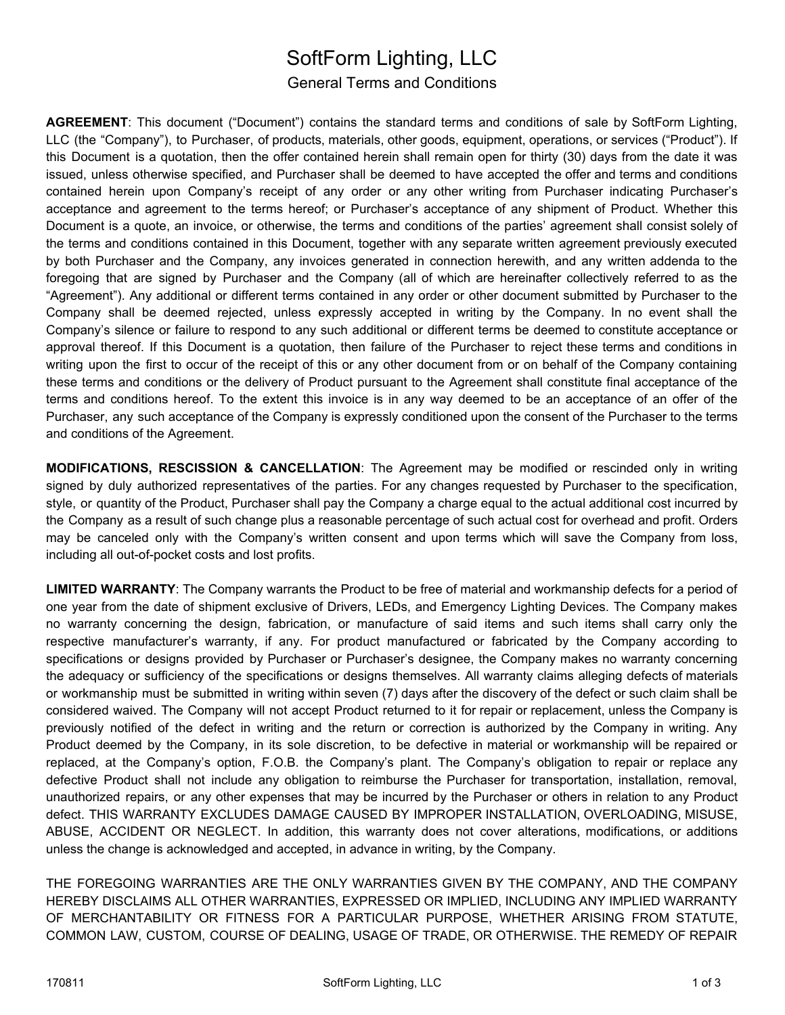## SoftForm Lighting, LLC

## General Terms and Conditions

**AGREEMENT**: This document ("Document") contains the standard terms and conditions of sale by SoftForm Lighting, LLC (the "Company"), to Purchaser, of products, materials, other goods, equipment, operations, or services ("Product"). If this Document is a quotation, then the offer contained herein shall remain open for thirty (30) days from the date it was issued, unless otherwise specified, and Purchaser shall be deemed to have accepted the offer and terms and conditions contained herein upon Company's receipt of any order or any other writing from Purchaser indicating Purchaser's acceptance and agreement to the terms hereof; or Purchaser's acceptance of any shipment of Product. Whether this Document is a quote, an invoice, or otherwise, the terms and conditions of the parties' agreement shall consist solely of the terms and conditions contained in this Document, together with any separate written agreement previously executed by both Purchaser and the Company, any invoices generated in connection herewith, and any written addenda to the foregoing that are signed by Purchaser and the Company (all of which are hereinafter collectively referred to as the "Agreement"). Any additional or different terms contained in any order or other document submitted by Purchaser to the Company shall be deemed rejected, unless expressly accepted in writing by the Company. In no event shall the Company's silence or failure to respond to any such additional or different terms be deemed to constitute acceptance or approval thereof. If this Document is a quotation, then failure of the Purchaser to reject these terms and conditions in writing upon the first to occur of the receipt of this or any other document from or on behalf of the Company containing these terms and conditions or the delivery of Product pursuant to the Agreement shall constitute final acceptance of the terms and conditions hereof. To the extent this invoice is in any way deemed to be an acceptance of an offer of the Purchaser, any such acceptance of the Company is expressly conditioned upon the consent of the Purchaser to the terms and conditions of the Agreement.

**MODIFICATIONS, RESCISSION & CANCELLATION**: The Agreement may be modified or rescinded only in writing signed by duly authorized representatives of the parties. For any changes requested by Purchaser to the specification, style, or quantity of the Product, Purchaser shall pay the Company a charge equal to the actual additional cost incurred by the Company as a result of such change plus a reasonable percentage of such actual cost for overhead and profit. Orders may be canceled only with the Company's written consent and upon terms which will save the Company from loss, including all out-of-pocket costs and lost profits.

**LIMITED WARRANTY**: The Company warrants the Product to be free of material and workmanship defects for a period of one year from the date of shipment exclusive of Drivers, LEDs, and Emergency Lighting Devices. The Company makes no warranty concerning the design, fabrication, or manufacture of said items and such items shall carry only the respective manufacturer's warranty, if any. For product manufactured or fabricated by the Company according to specifications or designs provided by Purchaser or Purchaser's designee, the Company makes no warranty concerning the adequacy or sufficiency of the specifications or designs themselves. All warranty claims alleging defects of materials or workmanship must be submitted in writing within seven (7) days after the discovery of the defect or such claim shall be considered waived. The Company will not accept Product returned to it for repair or replacement, unless the Company is previously notified of the defect in writing and the return or correction is authorized by the Company in writing. Any Product deemed by the Company, in its sole discretion, to be defective in material or workmanship will be repaired or replaced, at the Company's option, F.O.B. the Company's plant. The Company's obligation to repair or replace any defective Product shall not include any obligation to reimburse the Purchaser for transportation, installation, removal, unauthorized repairs, or any other expenses that may be incurred by the Purchaser or others in relation to any Product defect. THIS WARRANTY EXCLUDES DAMAGE CAUSED BY IMPROPER INSTALLATION, OVERLOADING, MISUSE, ABUSE, ACCIDENT OR NEGLECT. In addition, this warranty does not cover alterations, modifications, or additions unless the change is acknowledged and accepted, in advance in writing, by the Company.

THE FOREGOING WARRANTIES ARE THE ONLY WARRANTIES GIVEN BY THE COMPANY, AND THE COMPANY HEREBY DISCLAIMS ALL OTHER WARRANTIES, EXPRESSED OR IMPLIED, INCLUDING ANY IMPLIED WARRANTY OF MERCHANTABILITY OR FITNESS FOR A PARTICULAR PURPOSE, WHETHER ARISING FROM STATUTE, COMMON LAW, CUSTOM, COURSE OF DEALING, USAGE OF TRADE, OR OTHERWISE. THE REMEDY OF REPAIR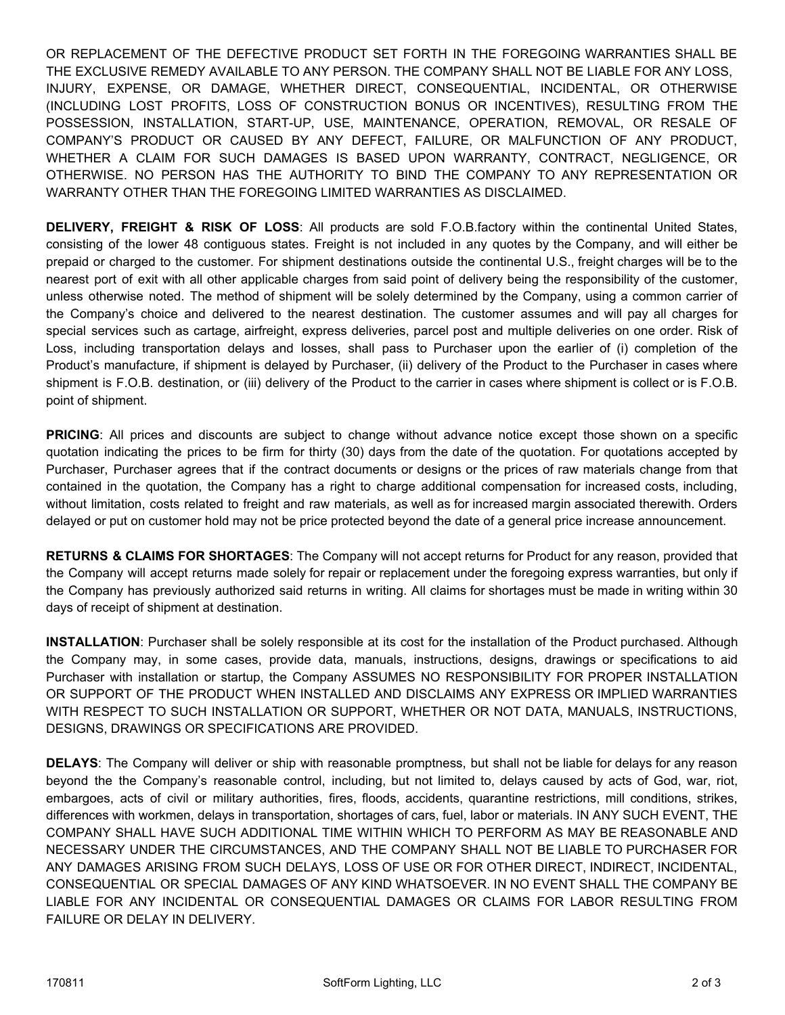OR REPLACEMENT OF THE DEFECTIVE PRODUCT SET FORTH IN THE FOREGOING WARRANTIES SHALL BE THE EXCLUSIVE REMEDY AVAILABLE TO ANY PERSON. THE COMPANY SHALL NOT BE LIABLE FOR ANY LOSS, INJURY, EXPENSE, OR DAMAGE, WHETHER DIRECT, CONSEQUENTIAL, INCIDENTAL, OR OTHERWISE (INCLUDING LOST PROFITS, LOSS OF CONSTRUCTION BONUS OR INCENTIVES), RESULTING FROM THE POSSESSION, INSTALLATION, START-UP, USE, MAINTENANCE, OPERATION, REMOVAL, OR RESALE OF COMPANY'S PRODUCT OR CAUSED BY ANY DEFECT, FAILURE, OR MALFUNCTION OF ANY PRODUCT, WHETHER A CLAIM FOR SUCH DAMAGES IS BASED UPON WARRANTY, CONTRACT, NEGLIGENCE, OR OTHERWISE. NO PERSON HAS THE AUTHORITY TO BIND THE COMPANY TO ANY REPRESENTATION OR WARRANTY OTHER THAN THE FOREGOING LIMITED WARRANTIES AS DISCLAIMED.

**DELIVERY, FREIGHT & RISK OF LOSS**: All products are sold F.O.B.factory within the continental United States, consisting of the lower 48 contiguous states. Freight is not included in any quotes by the Company, and will either be prepaid or charged to the customer. For shipment destinations outside the continental U.S., freight charges will be to the nearest port of exit with all other applicable charges from said point of delivery being the responsibility of the customer, unless otherwise noted. The method of shipment will be solely determined by the Company, using a common carrier of the Company's choice and delivered to the nearest destination. The customer assumes and will pay all charges for special services such as cartage, airfreight, express deliveries, parcel post and multiple deliveries on one order. Risk of Loss, including transportation delays and losses, shall pass to Purchaser upon the earlier of (i) completion of the Product's manufacture, if shipment is delayed by Purchaser, (ii) delivery of the Product to the Purchaser in cases where shipment is F.O.B. destination, or (iii) delivery of the Product to the carrier in cases where shipment is collect or is F.O.B. point of shipment.

**PRICING**: All prices and discounts are subject to change without advance notice except those shown on a specific quotation indicating the prices to be firm for thirty (30) days from the date of the quotation. For quotations accepted by Purchaser, Purchaser agrees that if the contract documents or designs or the prices of raw materials change from that contained in the quotation, the Company has a right to charge additional compensation for increased costs, including, without limitation, costs related to freight and raw materials, as well as for increased margin associated therewith. Orders delayed or put on customer hold may not be price protected beyond the date of a general price increase announcement.

**RETURNS & CLAIMS FOR SHORTAGES**: The Company will not accept returns for Product for any reason, provided that the Company will accept returns made solely for repair or replacement under the foregoing express warranties, but only if the Company has previously authorized said returns in writing. All claims for shortages must be made in writing within 30 days of receipt of shipment at destination.

**INSTALLATION**: Purchaser shall be solely responsible at its cost for the installation of the Product purchased. Although the Company may, in some cases, provide data, manuals, instructions, designs, drawings or specifications to aid Purchaser with installation or startup, the Company ASSUMES NO RESPONSIBILITY FOR PROPER INSTALLATION OR SUPPORT OF THE PRODUCT WHEN INSTALLED AND DISCLAIMS ANY EXPRESS OR IMPLIED WARRANTIES WITH RESPECT TO SUCH INSTALLATION OR SUPPORT, WHETHER OR NOT DATA, MANUALS, INSTRUCTIONS, DESIGNS, DRAWINGS OR SPECIFICATIONS ARE PROVIDED.

**DELAYS**: The Company will deliver or ship with reasonable promptness, but shall not be liable for delays for any reason beyond the the Company's reasonable control, including, but not limited to, delays caused by acts of God, war, riot, embargoes, acts of civil or military authorities, fires, floods, accidents, quarantine restrictions, mill conditions, strikes, differences with workmen, delays in transportation, shortages of cars, fuel, labor or materials. IN ANY SUCH EVENT, THE COMPANY SHALL HAVE SUCH ADDITIONAL TIME WITHIN WHICH TO PERFORM AS MAY BE REASONABLE AND NECESSARY UNDER THE CIRCUMSTANCES, AND THE COMPANY SHALL NOT BE LIABLE TO PURCHASER FOR ANY DAMAGES ARISING FROM SUCH DELAYS, LOSS OF USE OR FOR OTHER DIRECT, INDIRECT, INCIDENTAL, CONSEQUENTIAL OR SPECIAL DAMAGES OF ANY KIND WHATSOEVER. IN NO EVENT SHALL THE COMPANY BE LIABLE FOR ANY INCIDENTAL OR CONSEQUENTIAL DAMAGES OR CLAIMS FOR LABOR RESULTING FROM FAILURE OR DELAY IN DELIVERY.